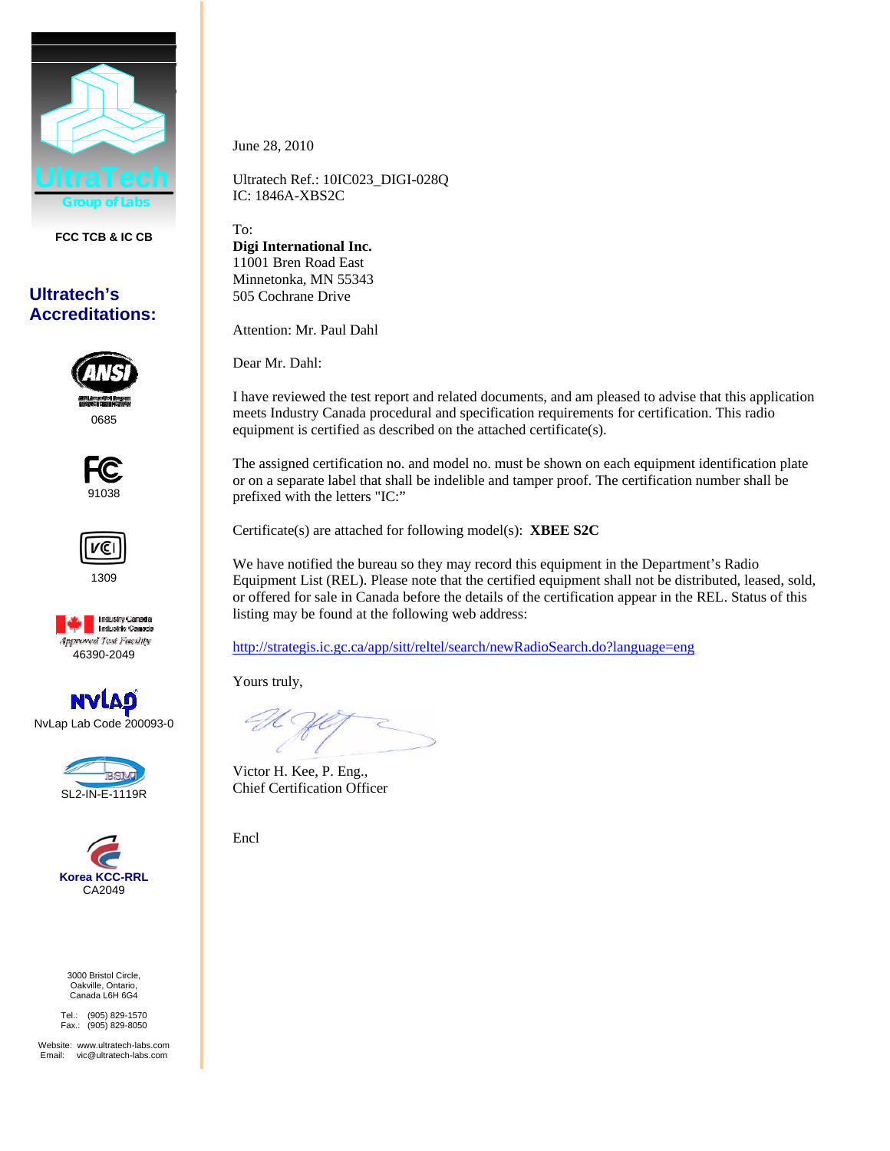

**FCC TCB & IC CB** 

## **Ultratech's Accreditations:**



0685







**NVLAS** NvLap Lab Code 200093-0





3000 Bristol Circle, Oakville, Ontario, Canada L6H 6G4

Tel.: (905) 829-1570 Fax.: (905) 829-8050

Website: www.ultratech-labs.com Email: vic@ultratech-labs.com June 28, 2010

Ultratech Ref.: 10IC023\_DIGI-028Q IC: 1846A-XBS2C

To: **Digi International Inc.**  11001 Bren Road East Minnetonka*,* MN 55343 505 Cochrane Drive

Attention: Mr. Paul Dahl

Dear Mr. Dahl:

I have reviewed the test report and related documents, and am pleased to advise that this application meets Industry Canada procedural and specification requirements for certification. This radio equipment is certified as described on the attached certificate(s).

The assigned certification no. and model no. must be shown on each equipment identification plate or on a separate label that shall be indelible and tamper proof. The certification number shall be prefixed with the letters "IC:"

Certificate(s) are attached for following model(s): **XBEE S2C**

We have notified the bureau so they may record this equipment in the Department's Radio Equipment List (REL). Please note that the certified equipment shall not be distributed, leased, sold, or offered for sale in Canada before the details of the certification appear in the REL. Status of this listing may be found at the following web address:

http://strategis.ic.gc.ca/app/sitt/reltel/search/newRadioSearch.do?language=eng

Yours truly,

Victor H. Kee, P. Eng., Chief Certification Officer

Encl